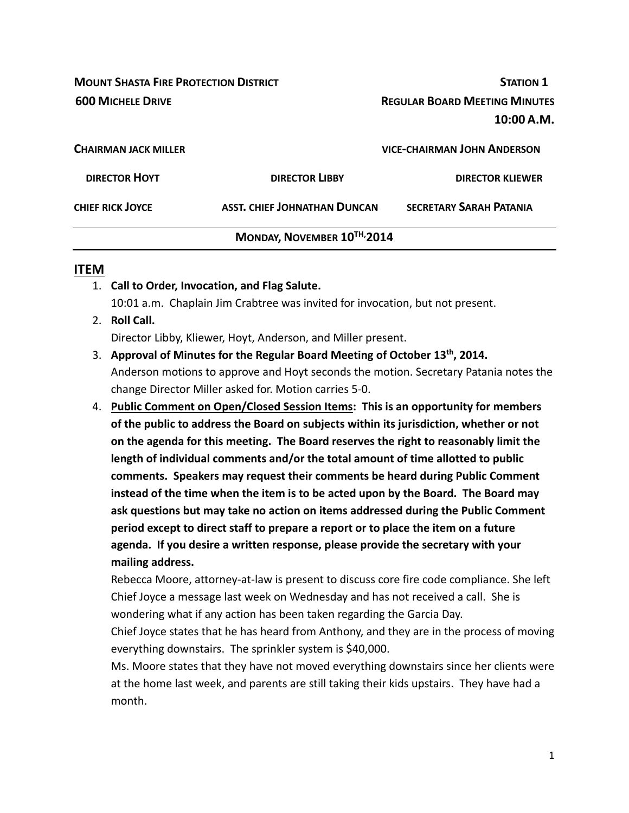**MOUNT SHASTA FIRE PROTECTION DISTRICT STATION 1 600 MICHELE DRIVE REGULAR BOARD MEETING MINUTES 10:00 A.M. CHAIRMAN JACK MILLER VICE‐CHAIRMAN JOHN ANDERSON DIRECTOR HOYT DIRECTOR LIBBY DIRECTOR KLIEWER CHIEF RICK JOYCE ASST. CHIEF JOHNATHAN DUNCAN SECRETARY SARAH PATANIA**

## **MONDAY, NOVEMBER 10TH,2014**

### **ITEM**

- 1. **Call to Order, Invocation, and Flag Salute.** 10:01 a.m. Chaplain Jim Crabtree was invited for invocation, but not present.
- 2. **Roll Call.**

Director Libby, Kliewer, Hoyt, Anderson, and Miller present.

- 3. **Approval of Minutes for the Regular Board Meeting of October 13th, 2014.** Anderson motions to approve and Hoyt seconds the motion. Secretary Patania notes the change Director Miller asked for. Motion carries 5‐0.
- 4. **Public Comment on Open/Closed Session Items: This is an opportunity for members of the public to address the Board on subjects within its jurisdiction, whether or not on the agenda for this meeting. The Board reserves the right to reasonably limit the length of individual comments and/or the total amount of time allotted to public comments. Speakers may request their comments be heard during Public Comment instead of the time when the item is to be acted upon by the Board. The Board may ask questions but may take no action on items addressed during the Public Comment period except to direct staff to prepare a report or to place the item on a future agenda. If you desire a written response, please provide the secretary with your mailing address.**

Rebecca Moore, attorney‐at‐law is present to discuss core fire code compliance. She left Chief Joyce a message last week on Wednesday and has not received a call. She is wondering what if any action has been taken regarding the Garcia Day.

Chief Joyce states that he has heard from Anthony, and they are in the process of moving everything downstairs. The sprinkler system is \$40,000.

Ms. Moore states that they have not moved everything downstairs since her clients were at the home last week, and parents are still taking their kids upstairs. They have had a month.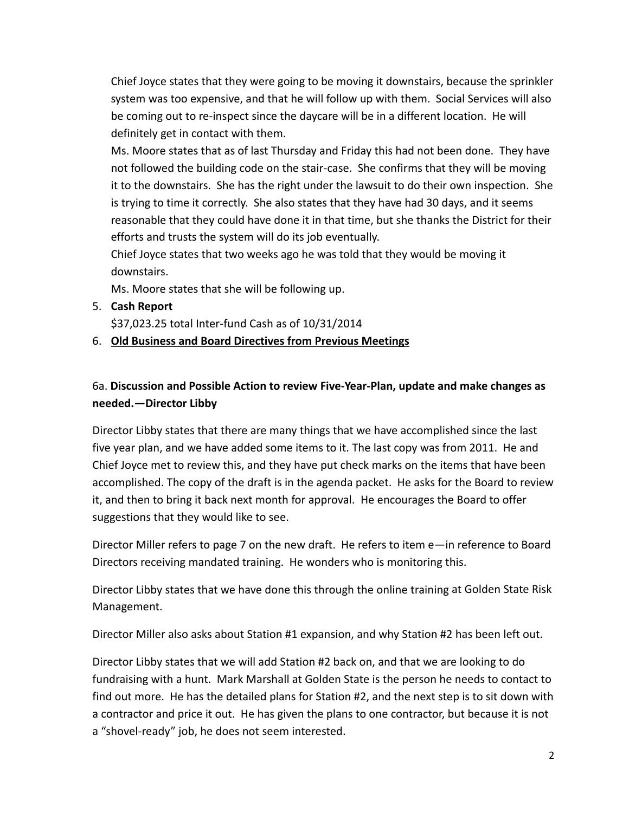Chief Joyce states that they were going to be moving it downstairs, because the sprinkler system was too expensive, and that he will follow up with them. Social Services will also be coming out to re‐inspect since the daycare will be in a different location. He will definitely get in contact with them.

Ms. Moore states that as of last Thursday and Friday this had not been done. They have not followed the building code on the stair‐case. She confirms that they will be moving it to the downstairs. She has the right under the lawsuit to do their own inspection. She is trying to time it correctly. She also states that they have had 30 days, and it seems reasonable that they could have done it in that time, but she thanks the District for their efforts and trusts the system will do its job eventually.

Chief Joyce states that two weeks ago he was told that they would be moving it downstairs.

Ms. Moore states that she will be following up.

5. **Cash Report** 

\$37,023.25 total Inter‐fund Cash as of 10/31/2014

6. **Old Business and Board Directives from Previous Meetings**

# 6a. **Discussion and Possible Action to review Five‐Year‐Plan, update and make changes as needed.—Director Libby**

Director Libby states that there are many things that we have accomplished since the last five year plan, and we have added some items to it. The last copy was from 2011. He and Chief Joyce met to review this, and they have put check marks on the items that have been accomplished. The copy of the draft is in the agenda packet. He asks for the Board to review it, and then to bring it back next month for approval. He encourages the Board to offer suggestions that they would like to see.

Director Miller refers to page 7 on the new draft. He refers to item e—in reference to Board Directors receiving mandated training. He wonders who is monitoring this.

Director Libby states that we have done this through the online training at Golden State Risk Management.

Director Miller also asks about Station #1 expansion, and why Station #2 has been left out.

Director Libby states that we will add Station #2 back on, and that we are looking to do fundraising with a hunt. Mark Marshall at Golden State is the person he needs to contact to find out more. He has the detailed plans for Station #2, and the next step is to sit down with a contractor and price it out. He has given the plans to one contractor, but because it is not a "shovel‐ready" job, he does not seem interested.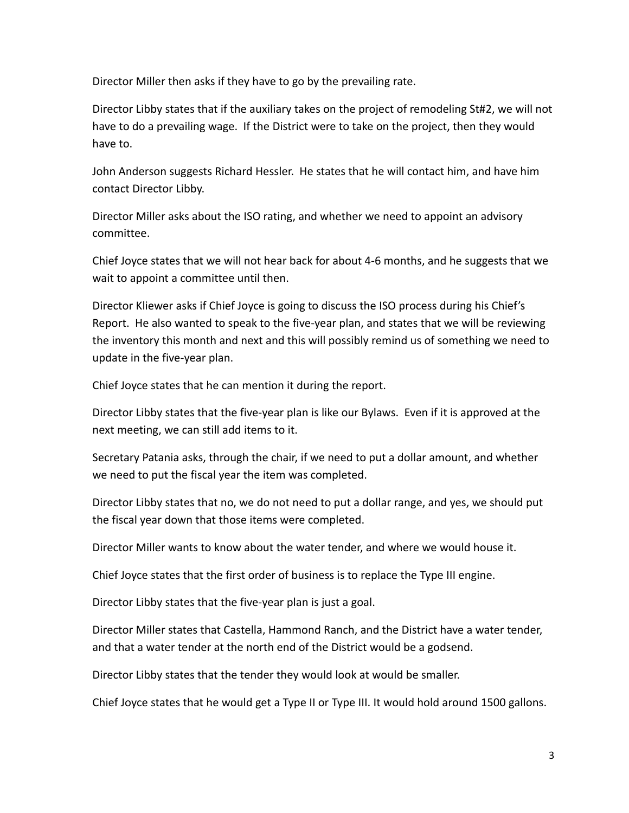Director Miller then asks if they have to go by the prevailing rate.

Director Libby states that if the auxiliary takes on the project of remodeling St#2, we will not have to do a prevailing wage. If the District were to take on the project, then they would have to.

John Anderson suggests Richard Hessler. He states that he will contact him, and have him contact Director Libby.

Director Miller asks about the ISO rating, and whether we need to appoint an advisory committee.

Chief Joyce states that we will not hear back for about 4‐6 months, and he suggests that we wait to appoint a committee until then.

Director Kliewer asks if Chief Joyce is going to discuss the ISO process during his Chief's Report. He also wanted to speak to the five‐year plan, and states that we will be reviewing the inventory this month and next and this will possibly remind us of something we need to update in the five‐year plan.

Chief Joyce states that he can mention it during the report.

Director Libby states that the five‐year plan is like our Bylaws. Even if it is approved at the next meeting, we can still add items to it.

Secretary Patania asks, through the chair, if we need to put a dollar amount, and whether we need to put the fiscal year the item was completed.

Director Libby states that no, we do not need to put a dollar range, and yes, we should put the fiscal year down that those items were completed.

Director Miller wants to know about the water tender, and where we would house it.

Chief Joyce states that the first order of business is to replace the Type III engine.

Director Libby states that the five‐year plan is just a goal.

Director Miller states that Castella, Hammond Ranch, and the District have a water tender, and that a water tender at the north end of the District would be a godsend.

Director Libby states that the tender they would look at would be smaller.

Chief Joyce states that he would get a Type II or Type III. It would hold around 1500 gallons.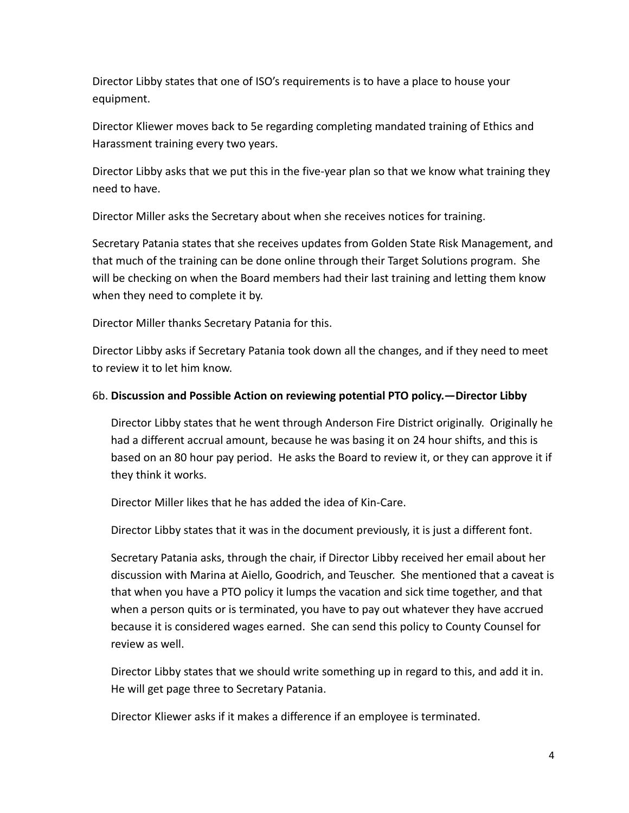Director Libby states that one of ISO's requirements is to have a place to house your equipment.

Director Kliewer moves back to 5e regarding completing mandated training of Ethics and Harassment training every two years.

Director Libby asks that we put this in the five-year plan so that we know what training they need to have.

Director Miller asks the Secretary about when she receives notices for training.

Secretary Patania states that she receives updates from Golden State Risk Management, and that much of the training can be done online through their Target Solutions program. She will be checking on when the Board members had their last training and letting them know when they need to complete it by.

Director Miller thanks Secretary Patania for this.

Director Libby asks if Secretary Patania took down all the changes, and if they need to meet to review it to let him know.

#### 6b. **Discussion and Possible Action on reviewing potential PTO policy.—Director Libby**

Director Libby states that he went through Anderson Fire District originally. Originally he had a different accrual amount, because he was basing it on 24 hour shifts, and this is based on an 80 hour pay period. He asks the Board to review it, or they can approve it if they think it works.

Director Miller likes that he has added the idea of Kin‐Care.

Director Libby states that it was in the document previously, it is just a different font.

Secretary Patania asks, through the chair, if Director Libby received her email about her discussion with Marina at Aiello, Goodrich, and Teuscher. She mentioned that a caveat is that when you have a PTO policy it lumps the vacation and sick time together, and that when a person quits or is terminated, you have to pay out whatever they have accrued because it is considered wages earned. She can send this policy to County Counsel for review as well.

Director Libby states that we should write something up in regard to this, and add it in. He will get page three to Secretary Patania.

Director Kliewer asks if it makes a difference if an employee is terminated.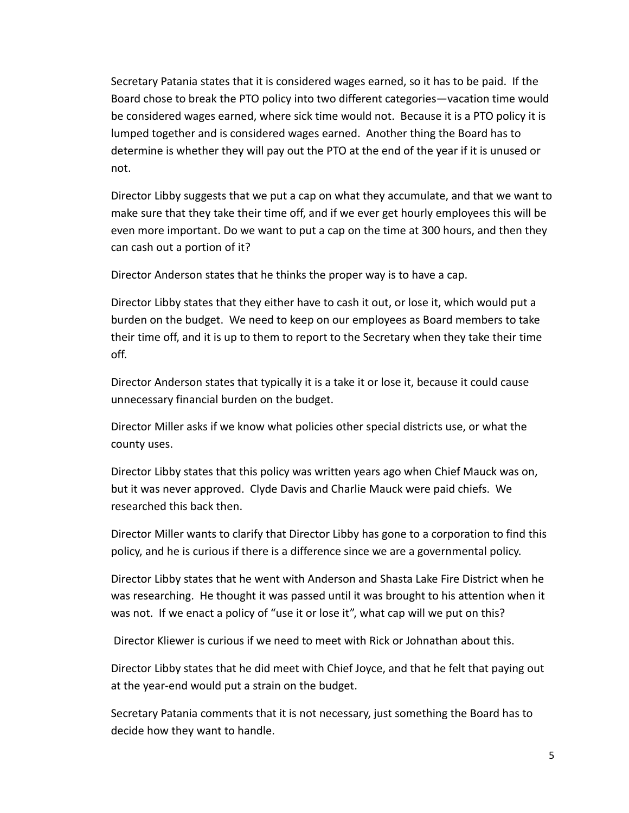Secretary Patania states that it is considered wages earned, so it has to be paid. If the Board chose to break the PTO policy into two different categories—vacation time would be considered wages earned, where sick time would not. Because it is a PTO policy it is lumped together and is considered wages earned. Another thing the Board has to determine is whether they will pay out the PTO at the end of the year if it is unused or not.

Director Libby suggests that we put a cap on what they accumulate, and that we want to make sure that they take their time off, and if we ever get hourly employees this will be even more important. Do we want to put a cap on the time at 300 hours, and then they can cash out a portion of it?

Director Anderson states that he thinks the proper way is to have a cap.

Director Libby states that they either have to cash it out, or lose it, which would put a burden on the budget. We need to keep on our employees as Board members to take their time off, and it is up to them to report to the Secretary when they take their time off.

Director Anderson states that typically it is a take it or lose it, because it could cause unnecessary financial burden on the budget.

Director Miller asks if we know what policies other special districts use, or what the county uses.

Director Libby states that this policy was written years ago when Chief Mauck was on, but it was never approved. Clyde Davis and Charlie Mauck were paid chiefs. We researched this back then.

Director Miller wants to clarify that Director Libby has gone to a corporation to find this policy, and he is curious if there is a difference since we are a governmental policy.

Director Libby states that he went with Anderson and Shasta Lake Fire District when he was researching. He thought it was passed until it was brought to his attention when it was not. If we enact a policy of "use it or lose it", what cap will we put on this?

Director Kliewer is curious if we need to meet with Rick or Johnathan about this.

Director Libby states that he did meet with Chief Joyce, and that he felt that paying out at the year‐end would put a strain on the budget.

Secretary Patania comments that it is not necessary, just something the Board has to decide how they want to handle.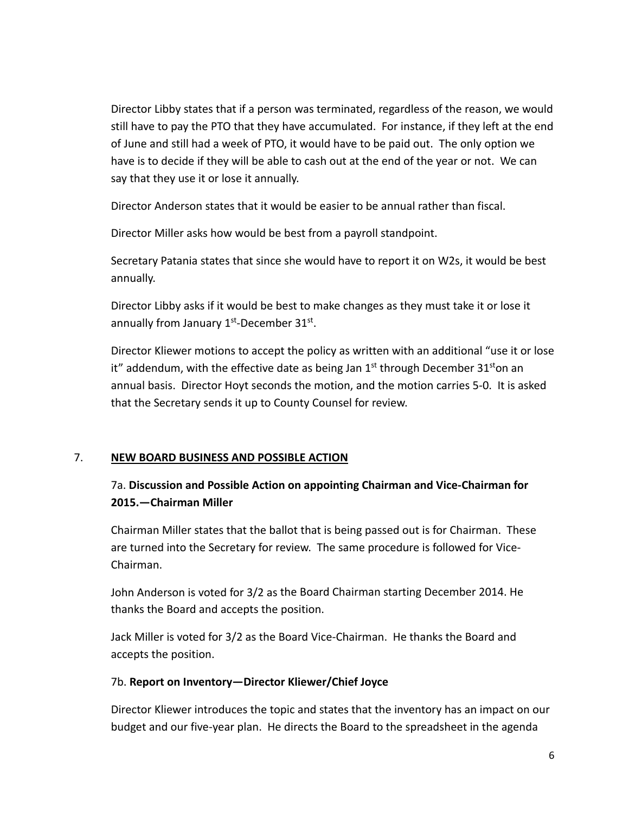Director Libby states that if a person was terminated, regardless of the reason, we would still have to pay the PTO that they have accumulated. For instance, if they left at the end of June and still had a week of PTO, it would have to be paid out. The only option we have is to decide if they will be able to cash out at the end of the year or not. We can say that they use it or lose it annually.

Director Anderson states that it would be easier to be annual rather than fiscal.

Director Miller asks how would be best from a payroll standpoint.

Secretary Patania states that since she would have to report it on W2s, it would be best annually.

Director Libby asks if it would be best to make changes as they must take it or lose it annually from January  $1<sup>st</sup>$ -December 31 $<sup>st</sup>$ .</sup>

Director Kliewer motions to accept the policy as written with an additional "use it or lose it" addendum, with the effective date as being Jan  $1<sup>st</sup>$  through December 31<sup>st</sup>on an annual basis. Director Hoyt seconds the motion, and the motion carries 5‐0. It is asked that the Secretary sends it up to County Counsel for review.

## 7. **NEW BOARD BUSINESS AND POSSIBLE ACTION**

# 7a. **Discussion and Possible Action on appointing Chairman and Vice‐Chairman for 2015.—Chairman Miller**

Chairman Miller states that the ballot that is being passed out is for Chairman. These are turned into the Secretary for review. The same procedure is followed for Vice‐ Chairman.

John Anderson is voted for 3/2 as the Board Chairman starting December 2014. He thanks the Board and accepts the position.

Jack Miller is voted for 3/2 as the Board Vice‐Chairman. He thanks the Board and accepts the position.

#### 7b. **Report on Inventory—Director Kliewer/Chief Joyce**

Director Kliewer introduces the topic and states that the inventory has an impact on our budget and our five‐year plan. He directs the Board to the spreadsheet in the agenda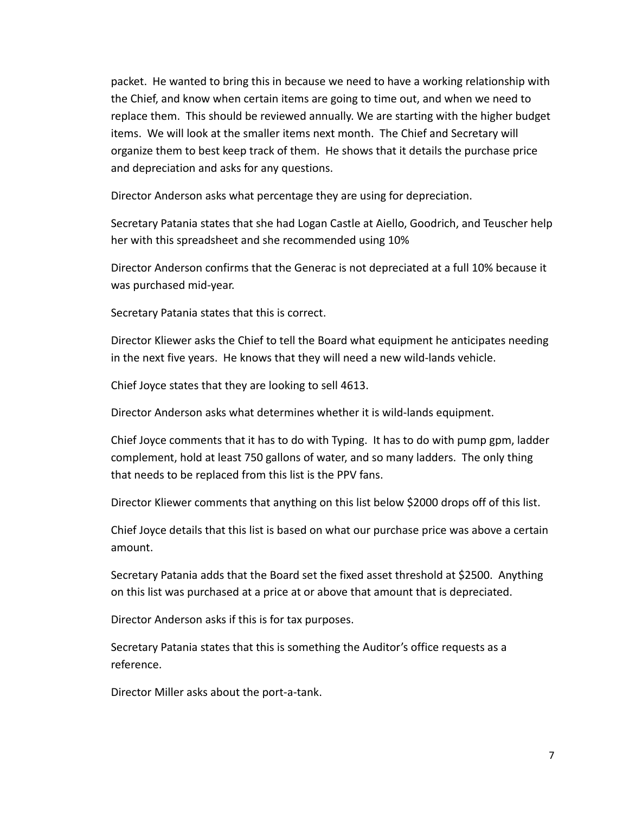packet. He wanted to bring this in because we need to have a working relationship with the Chief, and know when certain items are going to time out, and when we need to replace them. This should be reviewed annually. We are starting with the higher budget items. We will look at the smaller items next month. The Chief and Secretary will organize them to best keep track of them. He shows that it details the purchase price and depreciation and asks for any questions.

Director Anderson asks what percentage they are using for depreciation.

Secretary Patania states that she had Logan Castle at Aiello, Goodrich, and Teuscher help her with this spreadsheet and she recommended using 10%

Director Anderson confirms that the Generac is not depreciated at a full 10% because it was purchased mid‐year.

Secretary Patania states that this is correct.

Director Kliewer asks the Chief to tell the Board what equipment he anticipates needing in the next five years. He knows that they will need a new wild‐lands vehicle.

Chief Joyce states that they are looking to sell 4613.

Director Anderson asks what determines whether it is wild‐lands equipment.

Chief Joyce comments that it has to do with Typing. It has to do with pump gpm, ladder complement, hold at least 750 gallons of water, and so many ladders. The only thing that needs to be replaced from this list is the PPV fans.

Director Kliewer comments that anything on this list below \$2000 drops off of this list.

Chief Joyce details that this list is based on what our purchase price was above a certain amount.

Secretary Patania adds that the Board set the fixed asset threshold at \$2500. Anything on this list was purchased at a price at or above that amount that is depreciated.

Director Anderson asks if this is for tax purposes.

Secretary Patania states that this is something the Auditor's office requests as a reference.

Director Miller asks about the port‐a‐tank.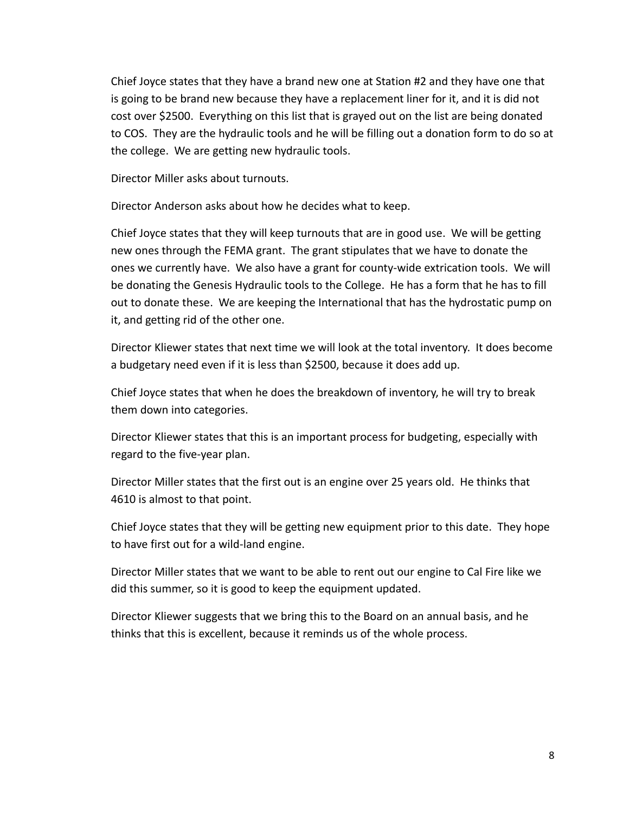Chief Joyce states that they have a brand new one at Station #2 and they have one that is going to be brand new because they have a replacement liner for it, and it is did not cost over \$2500. Everything on this list that is grayed out on the list are being donated to COS. They are the hydraulic tools and he will be filling out a donation form to do so at the college. We are getting new hydraulic tools.

Director Miller asks about turnouts.

Director Anderson asks about how he decides what to keep.

Chief Joyce states that they will keep turnouts that are in good use. We will be getting new ones through the FEMA grant. The grant stipulates that we have to donate the ones we currently have. We also have a grant for county-wide extrication tools. We will be donating the Genesis Hydraulic tools to the College. He has a form that he has to fill out to donate these. We are keeping the International that has the hydrostatic pump on it, and getting rid of the other one.

Director Kliewer states that next time we will look at the total inventory. It does become a budgetary need even if it is less than \$2500, because it does add up.

Chief Joyce states that when he does the breakdown of inventory, he will try to break them down into categories.

Director Kliewer states that this is an important process for budgeting, especially with regard to the five‐year plan.

Director Miller states that the first out is an engine over 25 years old. He thinks that 4610 is almost to that point.

Chief Joyce states that they will be getting new equipment prior to this date. They hope to have first out for a wild‐land engine.

Director Miller states that we want to be able to rent out our engine to Cal Fire like we did this summer, so it is good to keep the equipment updated.

Director Kliewer suggests that we bring this to the Board on an annual basis, and he thinks that this is excellent, because it reminds us of the whole process.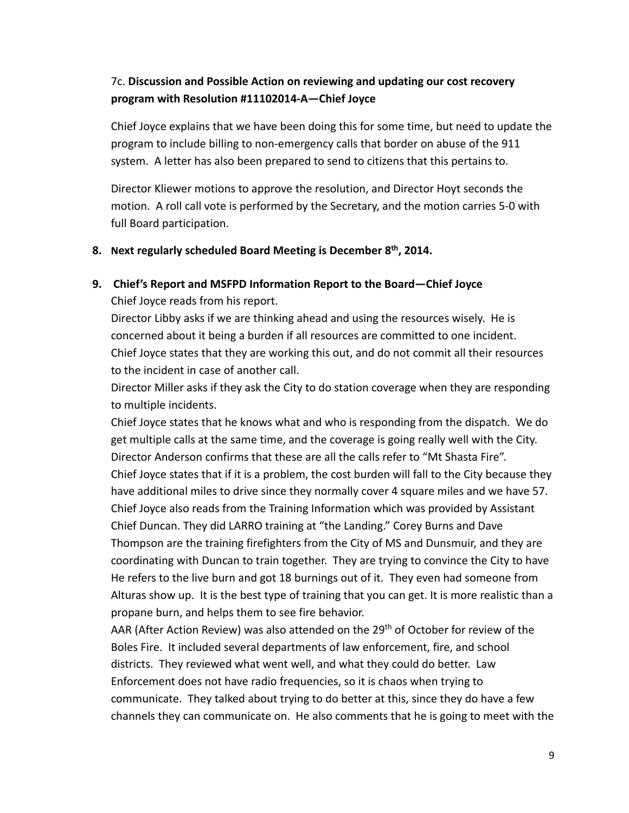# 7c. **Discussion and Possible Action on reviewing and updating our cost recovery program with Resolution #11102014‐A—Chief Joyce**

Chief Joyce explains that we have been doing this for some time, but need to update the program to include billing to non‐emergency calls that border on abuse of the 911 system. A letter has also been prepared to send to citizens that this pertains to.

Director Kliewer motions to approve the resolution, and Director Hoyt seconds the motion. A roll call vote is performed by the Secretary, and the motion carries 5‐0 with full Board participation.

### **8. Next regularly scheduled Board Meeting is December 8th, 2014.**

## **9. Chief's Report and MSFPD Information Report to the Board—Chief Joyce**

Chief Joyce reads from his report.

Director Libby asks if we are thinking ahead and using the resources wisely. He is concerned about it being a burden if all resources are committed to one incident. Chief Joyce states that they are working this out, and do not commit all their resources to the incident in case of another call.

Director Miller asks if they ask the City to do station coverage when they are responding to multiple incidents.

Chief Joyce states that he knows what and who is responding from the dispatch. We do get multiple calls at the same time, and the coverage is going really well with the City. Director Anderson confirms that these are all the calls refer to "Mt Shasta Fire". Chief Joyce states that if it is a problem, the cost burden will fall to the City because they have additional miles to drive since they normally cover 4 square miles and we have 57. Chief Joyce also reads from the Training Information which was provided by Assistant Chief Duncan. They did LARRO training at "the Landing." Corey Burns and Dave Thompson are the training firefighters from the City of MS and Dunsmuir, and they are coordinating with Duncan to train together. They are trying to convince the City to have He refers to the live burn and got 18 burnings out of it. They even had someone from Alturas show up. It is the best type of training that you can get. It is more realistic than a propane burn, and helps them to see fire behavior.

AAR (After Action Review) was also attended on the  $29<sup>th</sup>$  of October for review of the Boles Fire. It included several departments of law enforcement, fire, and school districts. They reviewed what went well, and what they could do better. Law Enforcement does not have radio frequencies, so it is chaos when trying to communicate. They talked about trying to do better at this, since they do have a few channels they can communicate on. He also comments that he is going to meet with the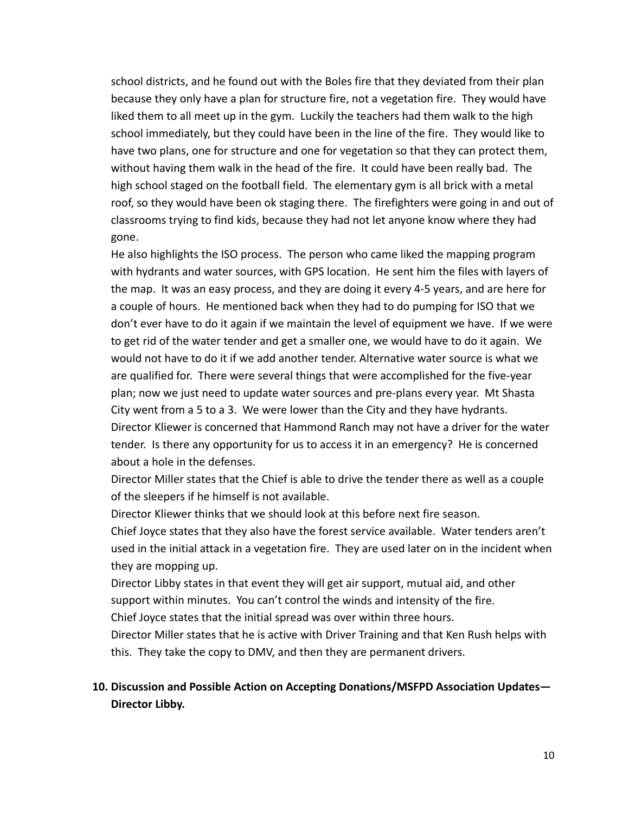school districts, and he found out with the Boles fire that they deviated from their plan because they only have a plan for structure fire, not a vegetation fire. They would have liked them to all meet up in the gym. Luckily the teachers had them walk to the high school immediately, but they could have been in the line of the fire. They would like to have two plans, one for structure and one for vegetation so that they can protect them, without having them walk in the head of the fire. It could have been really bad. The high school staged on the football field. The elementary gym is all brick with a metal roof, so they would have been ok staging there. The firefighters were going in and out of classrooms trying to find kids, because they had not let anyone know where they had gone.

He also highlights the ISO process. The person who came liked the mapping program with hydrants and water sources, with GPS location. He sent him the files with layers of the map. It was an easy process, and they are doing it every 4‐5 years, and are here for a couple of hours. He mentioned back when they had to do pumping for ISO that we don't ever have to do it again if we maintain the level of equipment we have. If we were to get rid of the water tender and get a smaller one, we would have to do it again. We would not have to do it if we add another tender. Alternative water source is what we are qualified for. There were several things that were accomplished for the five‐year plan; now we just need to update water sources and pre‐plans every year. Mt Shasta City went from a 5 to a 3. We were lower than the City and they have hydrants. Director Kliewer is concerned that Hammond Ranch may not have a driver for the water tender. Is there any opportunity for us to access it in an emergency? He is concerned about a hole in the defenses.

Director Miller states that the Chief is able to drive the tender there as well as a couple of the sleepers if he himself is not available.

Director Kliewer thinks that we should look at this before next fire season.

Chief Joyce states that they also have the forest service available. Water tenders aren't used in the initial attack in a vegetation fire. They are used later on in the incident when they are mopping up.

Director Libby states in that event they will get air support, mutual aid, and other support within minutes. You can't control the winds and intensity of the fire. Chief Joyce states that the initial spread was over within three hours.

Director Miller states that he is active with Driver Training and that Ken Rush helps with this. They take the copy to DMV, and then they are permanent drivers.

## **10. Discussion and Possible Action on Accepting Donations/MSFPD Association Updates— Director Libby.**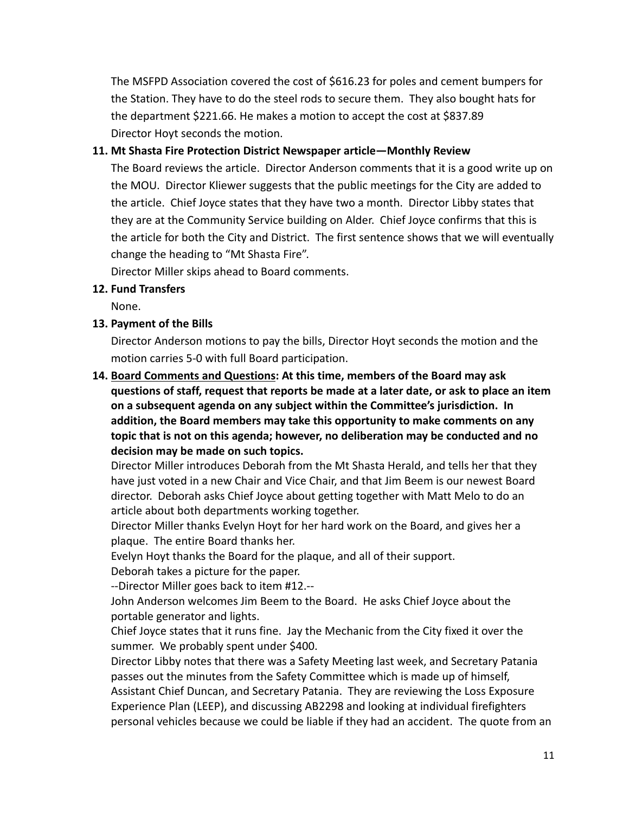The MSFPD Association covered the cost of \$616.23 for poles and cement bumpers for the Station. They have to do the steel rods to secure them. They also bought hats for the department \$221.66. He makes a motion to accept the cost at \$837.89 Director Hoyt seconds the motion.

#### **11. Mt Shasta Fire Protection District Newspaper article—Monthly Review**

The Board reviews the article. Director Anderson comments that it is a good write up on the MOU. Director Kliewer suggests that the public meetings for the City are added to the article. Chief Joyce states that they have two a month. Director Libby states that they are at the Community Service building on Alder. Chief Joyce confirms that this is the article for both the City and District. The first sentence shows that we will eventually change the heading to "Mt Shasta Fire".

Director Miller skips ahead to Board comments.

### **12. Fund Transfers**

None.

## **13. Payment of the Bills**

Director Anderson motions to pay the bills, Director Hoyt seconds the motion and the motion carries 5‐0 with full Board participation.

**14. Board Comments and Questions: At this time, members of the Board may ask questions of staff, request that reports be made at a later date, or ask to place an item on a subsequent agenda on any subject within the Committee's jurisdiction. In addition, the Board members may take this opportunity to make comments on any topic that is not on this agenda; however, no deliberation may be conducted and no decision may be made on such topics.**

Director Miller introduces Deborah from the Mt Shasta Herald, and tells her that they have just voted in a new Chair and Vice Chair, and that Jim Beem is our newest Board director. Deborah asks Chief Joyce about getting together with Matt Melo to do an article about both departments working together.

Director Miller thanks Evelyn Hoyt for her hard work on the Board, and gives her a plaque. The entire Board thanks her.

Evelyn Hoyt thanks the Board for the plaque, and all of their support.

Deborah takes a picture for the paper.

‐‐Director Miller goes back to item #12.‐‐

John Anderson welcomes Jim Beem to the Board. He asks Chief Joyce about the portable generator and lights.

Chief Joyce states that it runs fine. Jay the Mechanic from the City fixed it over the summer. We probably spent under \$400.

Director Libby notes that there was a Safety Meeting last week, and Secretary Patania passes out the minutes from the Safety Committee which is made up of himself, Assistant Chief Duncan, and Secretary Patania. They are reviewing the Loss Exposure Experience Plan (LEEP), and discussing AB2298 and looking at individual firefighters personal vehicles because we could be liable if they had an accident. The quote from an